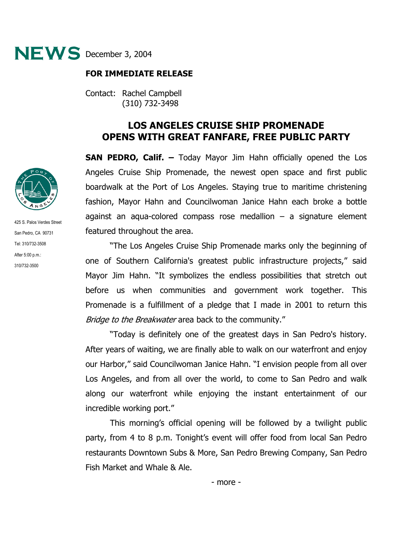

## **FOR IMMEDIATE RELEASE**

Contact: Rachel Campbell (310) 732-3498

## **LOS ANGELES CRUISE SHIP PROMENADE OPENS WITH GREAT FANFARE, FREE PUBLIC PARTY**

**SAN PEDRO, Calif. –** Today Mayor Jim Hahn officially opened the Los Angeles Cruise Ship Promenade, the newest open space and first public boardwalk at the Port of Los Angeles. Staying true to maritime christening fashion, Mayor Hahn and Councilwoman Janice Hahn each broke a bottle against an aqua-colored compass rose medallion – a signature element featured throughout the area.

"The Los Angeles Cruise Ship Promenade marks only the beginning of one of Southern California's greatest public infrastructure projects," said Mayor Jim Hahn. "It symbolizes the endless possibilities that stretch out before us when communities and government work together. This Promenade is a fulfillment of a pledge that I made in 2001 to return this Bridge to the Breakwater area back to the community."

"Today is definitely one of the greatest days in San Pedro's history. After years of waiting, we are finally able to walk on our waterfront and enjoy our Harbor," said Councilwoman Janice Hahn. "I envision people from all over Los Angeles, and from all over the world, to come to San Pedro and walk along our waterfront while enjoying the instant entertainment of our incredible working port."

This morning's official opening will be followed by a twilight public party, from 4 to 8 p.m. Tonight's event will offer food from local San Pedro restaurants Downtown Subs & More, San Pedro Brewing Company, San Pedro Fish Market and Whale & Ale.



425 S. Palos Verdes Street San Pedro, CA 90731 Tel: 310/732-3508 After 5:00 p.m.: 310/732-3500